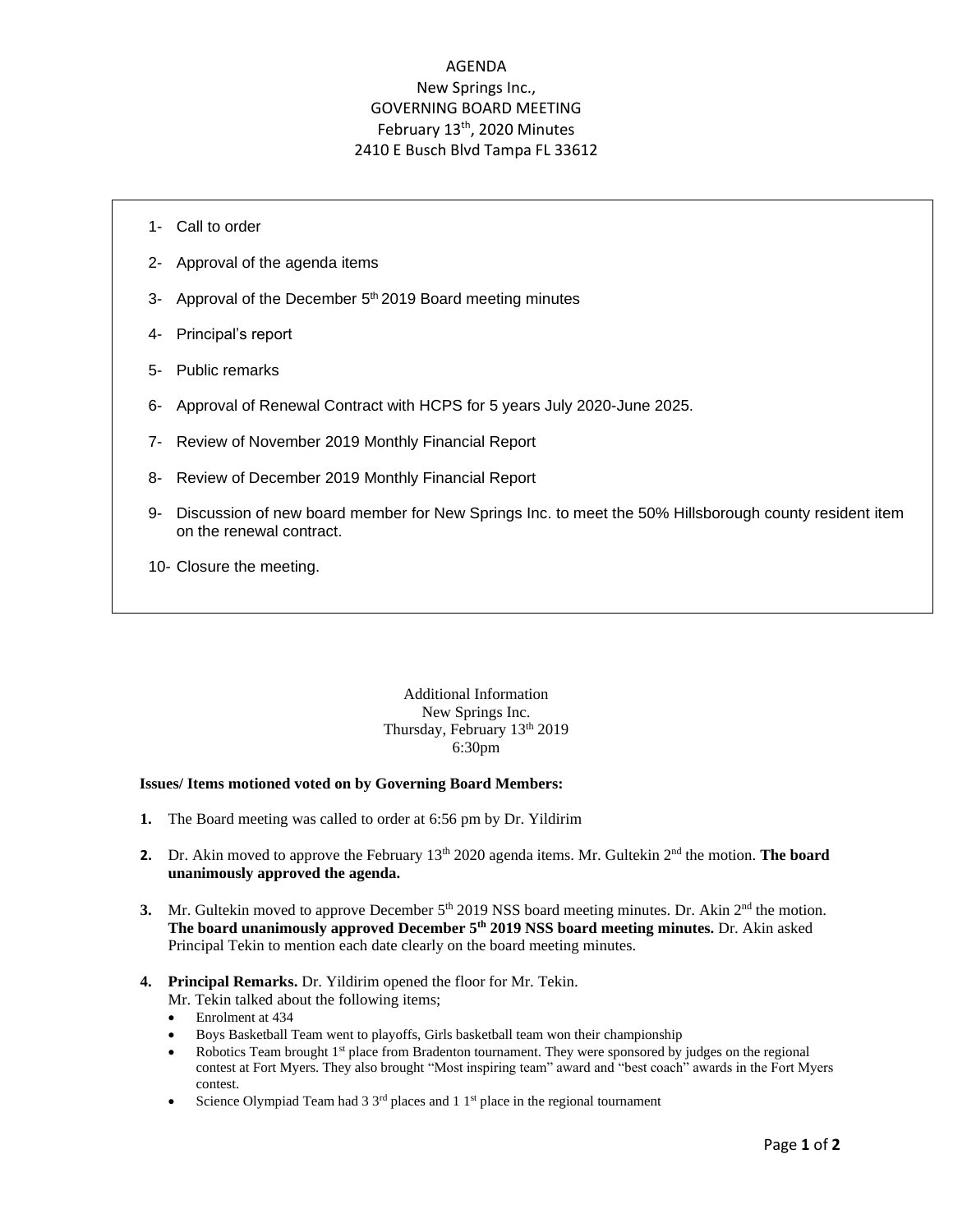## AGENDA New Springs Inc., GOVERNING BOARD MEETING February 13<sup>th</sup>, 2020 Minutes 2410 E Busch Blvd Tampa FL 33612

- 1- Call to order
- 2- Approval of the agenda items
- 3- Approval of the December 5<sup>th</sup> 2019 Board meeting minutes
- 4- Principal's report
- 5- Public remarks
- 6- Approval of Renewal Contract with HCPS for 5 years July 2020-June 2025.
- 7- Review of November 2019 Monthly Financial Report
- 8- Review of December 2019 Monthly Financial Report
- 9- Discussion of new board member for New Springs Inc. to meet the 50% Hillsborough county resident item on the renewal contract.
- 10- Closure the meeting.

Additional Information New Springs Inc. Thursday, February 13<sup>th</sup> 2019 6:30pm

## **Issues/ Items motioned voted on by Governing Board Members:**

- **1.** The Board meeting was called to order at 6:56 pm by Dr. Yildirim
- **2.** Dr. Akin moved to approve the February 13<sup>th</sup> 2020 agenda items. Mr. Gultekin 2<sup>nd</sup> the motion. **The board unanimously approved the agenda.**
- 3. Mr. Gultekin moved to approve December 5<sup>th</sup> 2019 NSS board meeting minutes. Dr. Akin 2<sup>nd</sup> the motion. **The board unanimously approved December 5 th 2019 NSS board meeting minutes.** Dr. Akin asked Principal Tekin to mention each date clearly on the board meeting minutes.
- **4. Principal Remarks.** Dr. Yildirim opened the floor for Mr. Tekin.
	- Mr. Tekin talked about the following items;
	- Enrolment at 434
	- Boys Basketball Team went to playoffs, Girls basketball team won their championship
	- Robotics Team brought 1<sup>st</sup> place from Bradenton tournament. They were sponsored by judges on the regional contest at Fort Myers. They also brought "Most inspiring team" award and "best coach" awards in the Fort Myers contest.
	- Science Olympiad Team had  $3 \frac{3^{rd}}{2}$  places and  $1 \frac{1^{st}}{2}$  place in the regional tournament